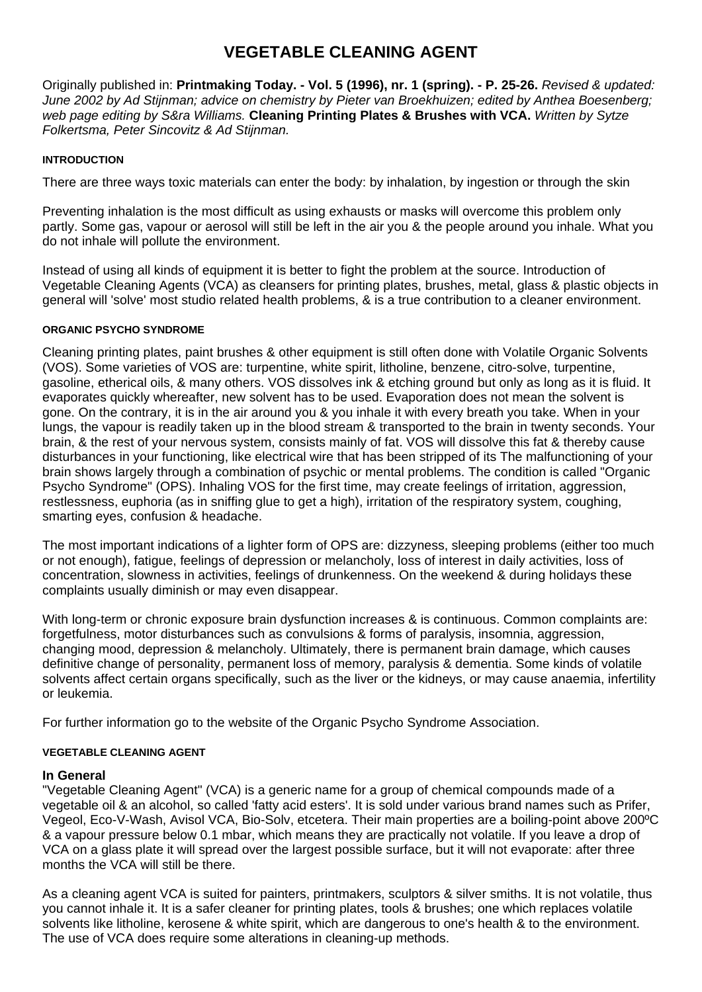# **VEGETABLE CLEANING AGENT**

Originally published in: **Printmaking Today. - Vol. 5 (1996), nr. 1 (spring). - P. 25-26.** *Revised & updated: June 2002 by Ad Stijnman; advice on chemistry by Pieter van Broekhuizen; edited by Anthea Boesenberg; web page editing by S&ra Williams.* **Cleaning Printing Plates & Brushes with VCA.** *Written by Sytze Folkertsma, Peter Sincovitz & Ad Stijnman.*

#### **INTRODUCTION**

There are three ways toxic materials can enter the body: by inhalation, by ingestion or through the skin

Preventing inhalation is the most difficult as using exhausts or masks will overcome this problem only partly. Some gas, vapour or aerosol will still be left in the air you & the people around you inhale. What you do not inhale will pollute the environment.

Instead of using all kinds of equipment it is better to fight the problem at the source. Introduction of Vegetable Cleaning Agents (VCA) as cleansers for printing plates, brushes, metal, glass & plastic objects in general will 'solve' most studio related health problems, & is a true contribution to a cleaner environment.

#### **ORGANIC PSYCHO SYNDROME**

Cleaning printing plates, paint brushes & other equipment is still often done with Volatile Organic Solvents (VOS). Some varieties of VOS are: turpentine, white spirit, litholine, benzene, citro-solve, turpentine, gasoline, etherical oils, & many others. VOS dissolves ink & etching ground but only as long as it is fluid. It evaporates quickly whereafter, new solvent has to be used. Evaporation does not mean the solvent is gone. On the contrary, it is in the air around you & you inhale it with every breath you take. When in your lungs, the vapour is readily taken up in the blood stream & transported to the brain in twenty seconds. Your brain, & the rest of your nervous system, consists mainly of fat. VOS will dissolve this fat & thereby cause disturbances in your functioning, like electrical wire that has been stripped of its The malfunctioning of your brain shows largely through a combination of psychic or mental problems. The condition is called "Organic Psycho Syndrome" (OPS). Inhaling VOS for the first time, may create feelings of irritation, aggression, restlessness, euphoria (as in sniffing glue to get a high), irritation of the respiratory system, coughing, smarting eyes, confusion & headache.

The most important indications of a lighter form of OPS are: dizzyness, sleeping problems (either too much or not enough), fatigue, feelings of depression or melancholy, loss of interest in daily activities, loss of concentration, slowness in activities, feelings of drunkenness. On the weekend & during holidays these complaints usually diminish or may even disappear.

With long-term or chronic exposure brain dysfunction increases & is continuous. Common complaints are: forgetfulness, motor disturbances such as convulsions & forms of paralysis, insomnia, aggression, changing mood, depression & melancholy. Ultimately, there is permanent brain damage, which causes definitive change of personality, permanent loss of memory, paralysis & dementia. Some kinds of volatile solvents affect certain organs specifically, such as the liver or the kidneys, or may cause anaemia, infertility or leukemia.

For further information go to the website of the Organic Psycho Syndrome Association.

#### **VEGETABLE CLEANING AGENT**

## **In General**

"Vegetable Cleaning Agent" (VCA) is a generic name for a group of chemical compounds made of a vegetable oil & an alcohol, so called 'fatty acid esters'. It is sold under various brand names such as Prifer, Vegeol, Eco-V-Wash, Avisol VCA, Bio-Solv, etcetera. Their main properties are a boiling-point above 200ºC & a vapour pressure below 0.1 mbar, which means they are practically not volatile. If you leave a drop of VCA on a glass plate it will spread over the largest possible surface, but it will not evaporate: after three months the VCA will still be there.

As a cleaning agent VCA is suited for painters, printmakers, sculptors & silver smiths. It is not volatile, thus you cannot inhale it. It is a safer cleaner for printing plates, tools & brushes; one which replaces volatile solvents like litholine, kerosene & white spirit, which are dangerous to one's health & to the environment. The use of VCA does require some alterations in cleaning-up methods.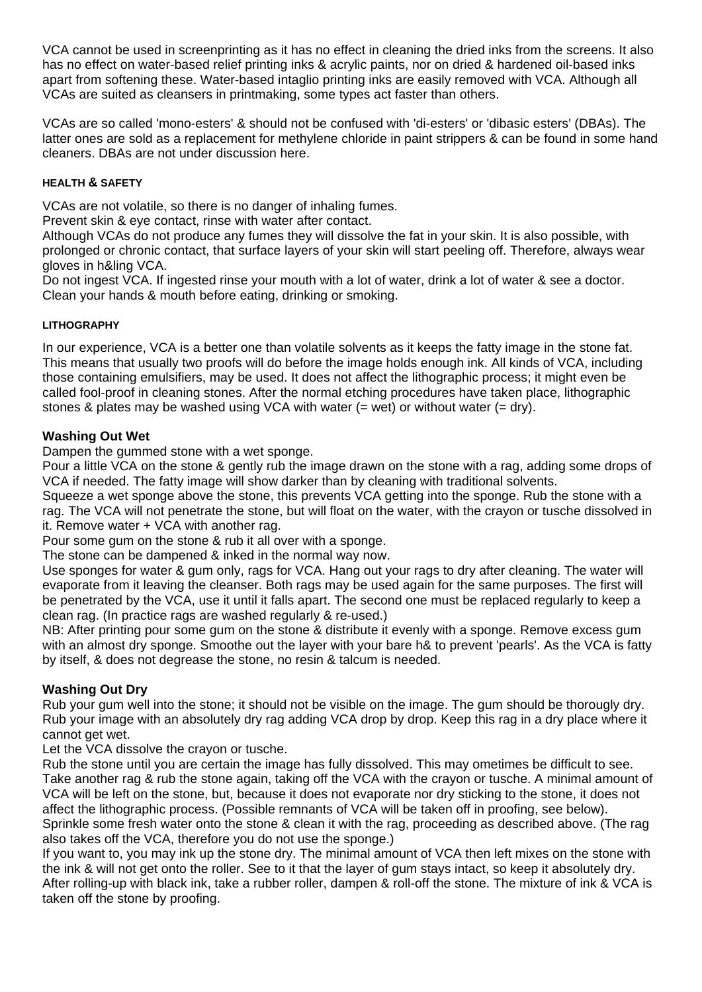VCA cannot be used in screenprinting as it has no effect in cleaning the dried inks from the screens. It also has no effect on water-based relief printing inks & acrylic paints, nor on dried & hardened oil-based inks apart from softening these. Water-based intaglio printing inks are easily removed with VCA. Although all VCAs are suited as cleansers in printmaking, some types act faster than others.

VCAs are so called 'mono-esters' & should not be confused with 'di-esters' or 'dibasic esters' (DBAs). The latter ones are sold as a replacement for methylene chloride in paint strippers & can be found in some hand cleaners. DBAs are not under discussion here.

## **HEALTH & SAFETY**

VCAs are not volatile, so there is no danger of inhaling fumes.

Prevent skin & eye contact, rinse with water after contact.

Although VCAs do not produce any fumes they will dissolve the fat in your skin. It is also possible, with prolonged or chronic contact, that surface layers of your skin will start peeling off. Therefore, always wear gloves in h&ling VCA.

Do not ingest VCA. If ingested rinse your mouth with a lot of water, drink a lot of water & see a doctor. Clean your hands & mouth before eating, drinking or smoking.

## **LITHOGRAPHY**

In our experience, VCA is a better one than volatile solvents as it keeps the fatty image in the stone fat. This means that usually two proofs will do before the image holds enough ink. All kinds of VCA, including those containing emulsifiers, may be used. It does not affect the lithographic process; it might even be called fool-proof in cleaning stones. After the normal etching procedures have taken place, lithographic stones & plates may be washed using VCA with water  $(=$  wet) or without water  $(=$  dry).

# **Washing Out Wet**

Dampen the gummed stone with a wet sponge.

Pour a little VCA on the stone & gently rub the image drawn on the stone with a rag, adding some drops of VCA if needed. The fatty image will show darker than by cleaning with traditional solvents.

Squeeze a wet sponge above the stone, this prevents VCA getting into the sponge. Rub the stone with a rag. The VCA will not penetrate the stone, but will float on the water, with the crayon or tusche dissolved in it. Remove water + VCA with another rag.

Pour some gum on the stone & rub it all over with a sponge.

The stone can be dampened & inked in the normal way now.

Use sponges for water & gum only, rags for VCA. Hang out your rags to dry after cleaning. The water will evaporate from it leaving the cleanser. Both rags may be used again for the same purposes. The first will be penetrated by the VCA, use it until it falls apart. The second one must be replaced regularly to keep a clean rag. (In practice rags are washed regularly & re-used.)

NB: After printing pour some gum on the stone & distribute it evenly with a sponge. Remove excess gum with an almost dry sponge. Smoothe out the layer with your bare h& to prevent 'pearls'. As the VCA is fatty by itself, & does not degrease the stone, no resin & talcum is needed.

# **Washing Out Dry**

Rub your gum well into the stone; it should not be visible on the image. The gum should be thorougly dry. Rub your image with an absolutely dry rag adding VCA drop by drop. Keep this rag in a dry place where it cannot get wet.

Let the VCA dissolve the crayon or tusche.

Rub the stone until you are certain the image has fully dissolved. This may ometimes be difficult to see. Take another rag & rub the stone again, taking off the VCA with the crayon or tusche. A minimal amount of VCA will be left on the stone, but, because it does not evaporate nor dry sticking to the stone, it does not affect the lithographic process. (Possible remnants of VCA will be taken off in proofing, see below). Sprinkle some fresh water onto the stone & clean it with the rag, proceeding as described above. (The rag also takes off the VCA, therefore you do not use the sponge.)

If you want to, you may ink up the stone dry. The minimal amount of VCA then left mixes on the stone with the ink & will not get onto the roller. See to it that the layer of gum stays intact, so keep it absolutely dry. After rolling-up with black ink, take a rubber roller, dampen & roll-off the stone. The mixture of ink & VCA is taken off the stone by proofing.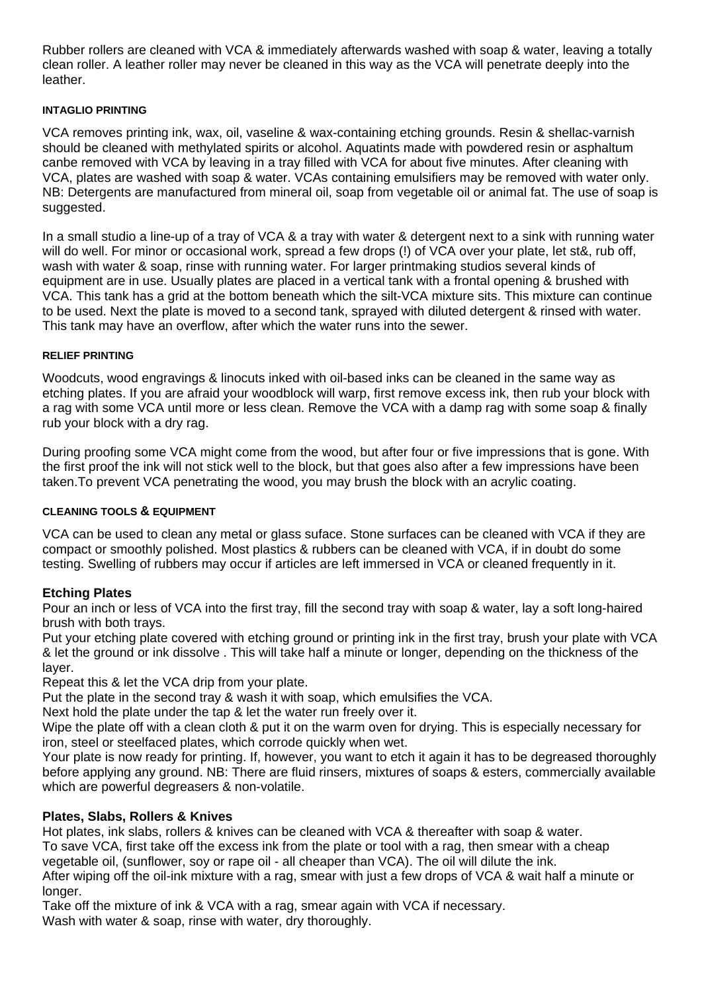Rubber rollers are cleaned with VCA & immediately afterwards washed with soap & water, leaving a totally clean roller. A leather roller may never be cleaned in this way as the VCA will penetrate deeply into the leather.

#### **INTAGLIO PRINTING**

VCA removes printing ink, wax, oil, vaseline & wax-containing etching grounds. Resin & shellac-varnish should be cleaned with methylated spirits or alcohol. Aquatints made with powdered resin or asphaltum canbe removed with VCA by leaving in a tray filled with VCA for about five minutes. After cleaning with VCA, plates are washed with soap & water. VCAs containing emulsifiers may be removed with water only. NB: Detergents are manufactured from mineral oil, soap from vegetable oil or animal fat. The use of soap is suggested.

In a small studio a line-up of a tray of VCA & a tray with water & detergent next to a sink with running water will do well. For minor or occasional work, spread a few drops (!) of VCA over your plate, let st&, rub off, wash with water & soap, rinse with running water. For larger printmaking studios several kinds of equipment are in use. Usually plates are placed in a vertical tank with a frontal opening & brushed with VCA. This tank has a grid at the bottom beneath which the silt-VCA mixture sits. This mixture can continue to be used. Next the plate is moved to a second tank, sprayed with diluted detergent & rinsed with water. This tank may have an overflow, after which the water runs into the sewer.

#### **RELIEF PRINTING**

Woodcuts, wood engravings & linocuts inked with oil-based inks can be cleaned in the same way as etching plates. If you are afraid your woodblock will warp, first remove excess ink, then rub your block with a rag with some VCA until more or less clean. Remove the VCA with a damp rag with some soap & finally rub your block with a dry rag.

During proofing some VCA might come from the wood, but after four or five impressions that is gone. With the first proof the ink will not stick well to the block, but that goes also after a few impressions have been taken.To prevent VCA penetrating the wood, you may brush the block with an acrylic coating.

#### **CLEANING TOOLS & EQUIPMENT**

VCA can be used to clean any metal or glass suface. Stone surfaces can be cleaned with VCA if they are compact or smoothly polished. Most plastics & rubbers can be cleaned with VCA, if in doubt do some testing. Swelling of rubbers may occur if articles are left immersed in VCA or cleaned frequently in it.

## **Etching Plates**

Pour an inch or less of VCA into the first tray, fill the second tray with soap & water, lay a soft long-haired brush with both trays.

Put your etching plate covered with etching ground or printing ink in the first tray, brush your plate with VCA & let the ground or ink dissolve . This will take half a minute or longer, depending on the thickness of the layer.

Repeat this & let the VCA drip from your plate.

Put the plate in the second tray & wash it with soap, which emulsifies the VCA.

Next hold the plate under the tap & let the water run freely over it.

Wipe the plate off with a clean cloth & put it on the warm oven for drying. This is especially necessary for iron, steel or steelfaced plates, which corrode quickly when wet.

Your plate is now ready for printing. If, however, you want to etch it again it has to be degreased thoroughly before applying any ground. NB: There are fluid rinsers, mixtures of soaps & esters, commercially available which are powerful degreasers & non-volatile.

## **Plates, Slabs, Rollers & Knives**

Hot plates, ink slabs, rollers & knives can be cleaned with VCA & thereafter with soap & water. To save VCA, first take off the excess ink from the plate or tool with a rag, then smear with a cheap vegetable oil, (sunflower, soy or rape oil - all cheaper than VCA). The oil will dilute the ink. After wiping off the oil-ink mixture with a rag, smear with just a few drops of VCA & wait half a minute or

longer.

Take off the mixture of ink & VCA with a rag, smear again with VCA if necessary. Wash with water & soap, rinse with water, dry thoroughly.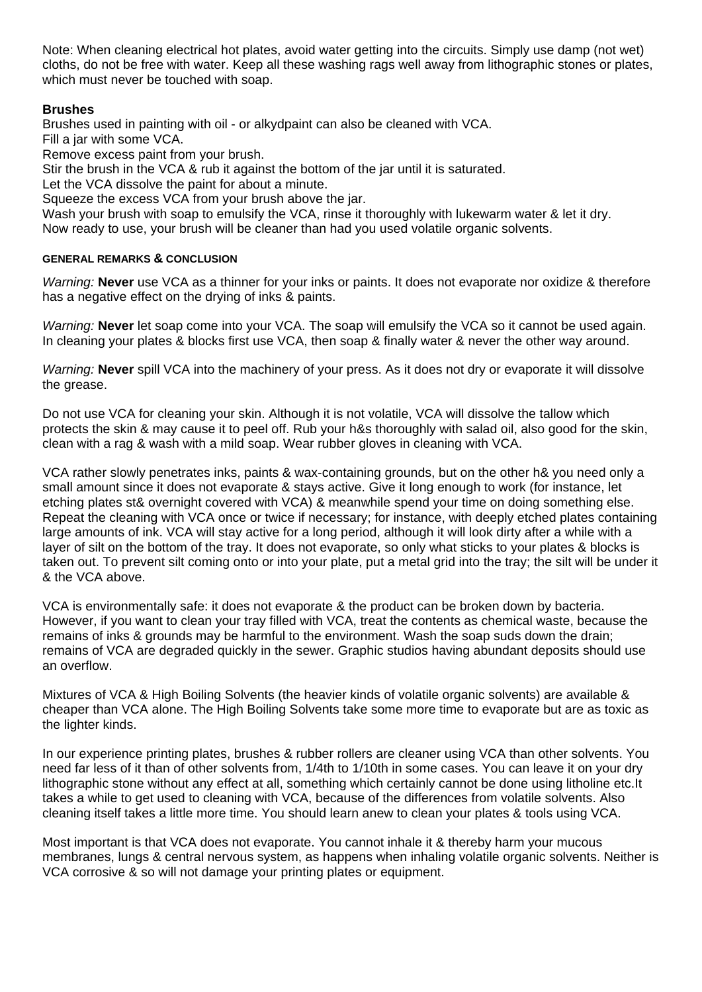Note: When cleaning electrical hot plates, avoid water getting into the circuits. Simply use damp (not wet) cloths, do not be free with water. Keep all these washing rags well away from lithographic stones or plates, which must never be touched with soap.

# **Brushes**

Brushes used in painting with oil - or alkydpaint can also be cleaned with VCA.

Fill a jar with some VCA.

Remove excess paint from your brush.

Stir the brush in the VCA & rub it against the bottom of the jar until it is saturated.

Let the VCA dissolve the paint for about a minute.

Squeeze the excess VCA from your brush above the jar.

Wash your brush with soap to emulsify the VCA, rinse it thoroughly with lukewarm water & let it dry. Now ready to use, your brush will be cleaner than had you used volatile organic solvents.

## **GENERAL REMARKS & CONCLUSION**

*Warning:* **Never** use VCA as a thinner for your inks or paints. It does not evaporate nor oxidize & therefore has a negative effect on the drying of inks & paints.

*Warning:* **Never** let soap come into your VCA. The soap will emulsify the VCA so it cannot be used again. In cleaning your plates & blocks first use VCA, then soap & finally water & never the other way around.

*Warning:* **Never** spill VCA into the machinery of your press. As it does not dry or evaporate it will dissolve the grease.

Do not use VCA for cleaning your skin. Although it is not volatile, VCA will dissolve the tallow which protects the skin & may cause it to peel off. Rub your h&s thoroughly with salad oil, also good for the skin, clean with a rag & wash with a mild soap. Wear rubber gloves in cleaning with VCA.

VCA rather slowly penetrates inks, paints & wax-containing grounds, but on the other h& you need only a small amount since it does not evaporate & stays active. Give it long enough to work (for instance, let etching plates st& overnight covered with VCA) & meanwhile spend your time on doing something else. Repeat the cleaning with VCA once or twice if necessary; for instance, with deeply etched plates containing large amounts of ink. VCA will stay active for a long period, although it will look dirty after a while with a layer of silt on the bottom of the tray. It does not evaporate, so only what sticks to your plates & blocks is taken out. To prevent silt coming onto or into your plate, put a metal grid into the tray; the silt will be under it & the VCA above.

VCA is environmentally safe: it does not evaporate & the product can be broken down by bacteria. However, if you want to clean your tray filled with VCA, treat the contents as chemical waste, because the remains of inks & grounds may be harmful to the environment. Wash the soap suds down the drain; remains of VCA are degraded quickly in the sewer. Graphic studios having abundant deposits should use an overflow.

Mixtures of VCA & High Boiling Solvents (the heavier kinds of volatile organic solvents) are available & cheaper than VCA alone. The High Boiling Solvents take some more time to evaporate but are as toxic as the lighter kinds.

In our experience printing plates, brushes & rubber rollers are cleaner using VCA than other solvents. You need far less of it than of other solvents from, 1/4th to 1/10th in some cases. You can leave it on your dry lithographic stone without any effect at all, something which certainly cannot be done using litholine etc.It takes a while to get used to cleaning with VCA, because of the differences from volatile solvents. Also cleaning itself takes a little more time. You should learn anew to clean your plates & tools using VCA.

Most important is that VCA does not evaporate. You cannot inhale it & thereby harm your mucous membranes, lungs & central nervous system, as happens when inhaling volatile organic solvents. Neither is VCA corrosive & so will not damage your printing plates or equipment.